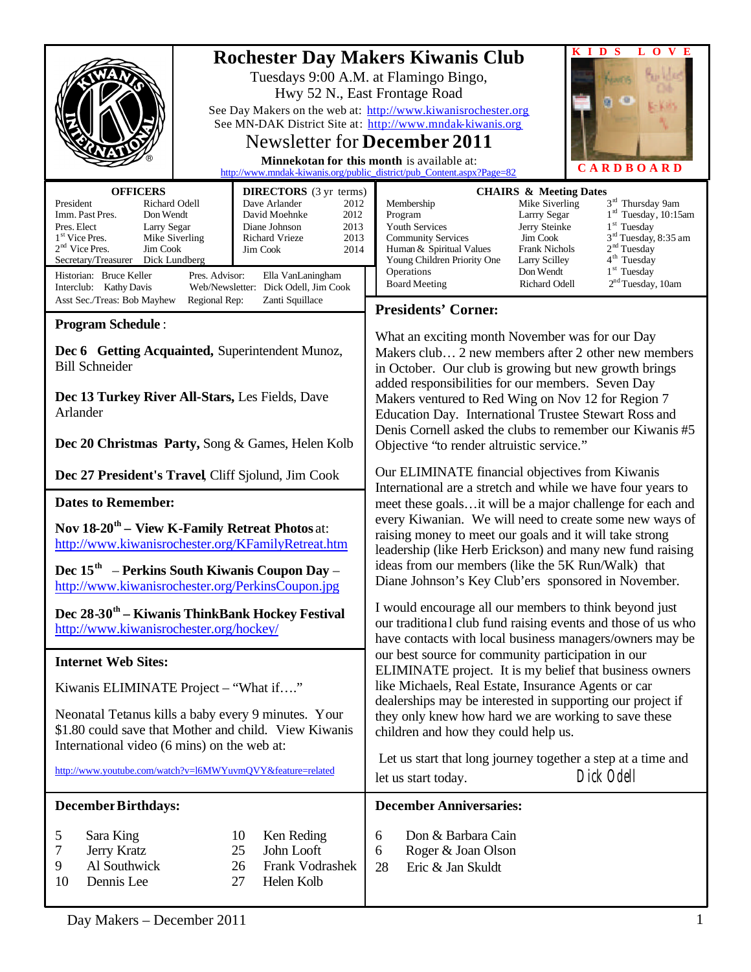|                                                                                                                                                                                                                                                                                         | $O$ V E<br>D S<br>L<br><b>Rochester Day Makers Kiwanis Club</b><br>Tuesdays 9:00 A.M. at Flamingo Bingo,<br>Hwy 52 N., East Frontage Road<br>See Day Makers on the web at: http://www.kiwanisrochester.org<br>See MN-DAK District Site at: http://www.mndak-kiwanis.org<br>Newsletter for <b>December 2011</b><br>Minnekotan for this month is available at:<br><b>CARDBOARD</b><br>http://www.mndak-kiwanis.org/public_district/pub_Content.aspx?Page=82 |                                                                                                                                                                                                                                                                                                                                                                                                                                                                                    |                                                                                                                                                                                                                                                                                                                                                           |
|-----------------------------------------------------------------------------------------------------------------------------------------------------------------------------------------------------------------------------------------------------------------------------------------|-----------------------------------------------------------------------------------------------------------------------------------------------------------------------------------------------------------------------------------------------------------------------------------------------------------------------------------------------------------------------------------------------------------------------------------------------------------|------------------------------------------------------------------------------------------------------------------------------------------------------------------------------------------------------------------------------------------------------------------------------------------------------------------------------------------------------------------------------------------------------------------------------------------------------------------------------------|-----------------------------------------------------------------------------------------------------------------------------------------------------------------------------------------------------------------------------------------------------------------------------------------------------------------------------------------------------------|
| <b>OFFICERS</b>                                                                                                                                                                                                                                                                         | <b>DIRECTORS</b> (3 yr terms)                                                                                                                                                                                                                                                                                                                                                                                                                             |                                                                                                                                                                                                                                                                                                                                                                                                                                                                                    | <b>CHAIRS &amp; Meeting Dates</b>                                                                                                                                                                                                                                                                                                                         |
| President<br>Richard Odell<br>Imm. Past Pres.<br>Don Wendt<br>Pres. Elect<br>Larry Segar<br>1 <sup>st</sup> Vice Pres.<br>Mike Siverling<br>$2nd$ Vice Pres.<br>Jim Cook<br>Secretary/Treasurer<br>Dick Lundberg<br>Historian: Bruce Keller<br>Pres. Advisor:<br>Interclub: Kathy Davis | Dave Arlander<br>2012<br>David Moehnke<br>2012<br>Diane Johnson<br>2013<br>Richard Vrieze<br>2013<br>Jim Cook<br>2014<br>Ella VanLaningham<br>Web/Newsletter: Dick Odell, Jim Cook                                                                                                                                                                                                                                                                        | Membership<br>Program<br>Youth Services<br><b>Community Services</b><br>Human & Spiritual Values<br>Young Children Priority One<br>Operations<br><b>Board Meeting</b>                                                                                                                                                                                                                                                                                                              | 3 <sup>rd</sup> Thursday 9am<br>Mike Siverling<br>$1rd$ Tuesday, 10:15am<br>Larrry Segar<br>$1st$ Tuesday<br>Jerry Steinke<br>3 <sup>rd</sup> Tuesday, 8:35 am<br>Jim Cook<br>2 <sup>nd</sup> Tuesday<br><b>Frank Nichols</b><br>4 <sup>th</sup> Tuesday<br>Larry Scilley<br>$1st$ Tuesday<br>Don Wendt<br>2 <sup>nd</sup> Tuesday, 10am<br>Richard Odell |
| Asst Sec./Treas: Bob Mayhew<br>Regional Rep:                                                                                                                                                                                                                                            | Zanti Squillace                                                                                                                                                                                                                                                                                                                                                                                                                                           |                                                                                                                                                                                                                                                                                                                                                                                                                                                                                    |                                                                                                                                                                                                                                                                                                                                                           |
| <b>Program Schedule:</b>                                                                                                                                                                                                                                                                |                                                                                                                                                                                                                                                                                                                                                                                                                                                           | <b>Presidents' Corner:</b>                                                                                                                                                                                                                                                                                                                                                                                                                                                         |                                                                                                                                                                                                                                                                                                                                                           |
| Dec 6 Getting Acquainted, Superintendent Munoz,<br><b>Bill Schneider</b><br>Dec 13 Turkey River All-Stars, Les Fields, Dave<br>Arlander<br>Dec 20 Christmas Party, Song & Games, Helen Kolb                                                                                             |                                                                                                                                                                                                                                                                                                                                                                                                                                                           | What an exciting month November was for our Day<br>Makers club 2 new members after 2 other new members<br>in October. Our club is growing but new growth brings<br>added responsibilities for our members. Seven Day<br>Makers ventured to Red Wing on Nov 12 for Region 7<br>Education Day. International Trustee Stewart Ross and<br>Denis Cornell asked the clubs to remember our Kiwanis #5<br>Objective "to render altruistic service."                                       |                                                                                                                                                                                                                                                                                                                                                           |
| Dec 27 President's Travel, Cliff Sjolund, Jim Cook                                                                                                                                                                                                                                      |                                                                                                                                                                                                                                                                                                                                                                                                                                                           | Our ELIMINATE financial objectives from Kiwanis<br>International are a stretch and while we have four years to<br>meet these goalsit will be a major challenge for each and                                                                                                                                                                                                                                                                                                        |                                                                                                                                                                                                                                                                                                                                                           |
| <b>Dates to Remember:</b>                                                                                                                                                                                                                                                               |                                                                                                                                                                                                                                                                                                                                                                                                                                                           |                                                                                                                                                                                                                                                                                                                                                                                                                                                                                    |                                                                                                                                                                                                                                                                                                                                                           |
| Nov 18-20 <sup>th</sup> – View K-Family Retreat Photos at:<br>http://www.kiwanisrochester.org/KFamilyRetreat.htm                                                                                                                                                                        |                                                                                                                                                                                                                                                                                                                                                                                                                                                           | every Kiwanian. We will need to create some new ways of<br>raising money to meet our goals and it will take strong<br>leadership (like Herb Erickson) and many new fund raising<br>ideas from our members (like the 5K Run/Walk) that<br>Diane Johnson's Key Club'ers sponsored in November.<br>I would encourage all our members to think beyond just<br>our traditional club fund raising events and those of us who<br>have contacts with local business managers/owners may be |                                                                                                                                                                                                                                                                                                                                                           |
| Dec $15th$ – Perkins South Kiwanis Coupon Day –<br>http://www.kiwanisrochester.org/PerkinsCoupon.jpg                                                                                                                                                                                    |                                                                                                                                                                                                                                                                                                                                                                                                                                                           |                                                                                                                                                                                                                                                                                                                                                                                                                                                                                    |                                                                                                                                                                                                                                                                                                                                                           |
| Dec 28-30 <sup>th</sup> – Kiwanis ThinkBank Hockey Festival<br>http://www.kiwanisrochester.org/hockey/                                                                                                                                                                                  |                                                                                                                                                                                                                                                                                                                                                                                                                                                           |                                                                                                                                                                                                                                                                                                                                                                                                                                                                                    |                                                                                                                                                                                                                                                                                                                                                           |
| <b>Internet Web Sites:</b>                                                                                                                                                                                                                                                              |                                                                                                                                                                                                                                                                                                                                                                                                                                                           | our best source for community participation in our<br>ELIMINATE project. It is my belief that business owners<br>like Michaels, Real Estate, Insurance Agents or car                                                                                                                                                                                                                                                                                                               |                                                                                                                                                                                                                                                                                                                                                           |
| Kiwanis ELIMINATE Project - "What if"                                                                                                                                                                                                                                                   |                                                                                                                                                                                                                                                                                                                                                                                                                                                           |                                                                                                                                                                                                                                                                                                                                                                                                                                                                                    |                                                                                                                                                                                                                                                                                                                                                           |
| Neonatal Tetanus kills a baby every 9 minutes. Your<br>\$1.80 could save that Mother and child. View Kiwanis<br>International video (6 mins) on the web at:                                                                                                                             |                                                                                                                                                                                                                                                                                                                                                                                                                                                           | dealerships may be interested in supporting our project if<br>they only knew how hard we are working to save these<br>children and how they could help us.                                                                                                                                                                                                                                                                                                                         |                                                                                                                                                                                                                                                                                                                                                           |
| http://www.youtube.com/watch?v=l6MWYuvmQVY&feature=related                                                                                                                                                                                                                              |                                                                                                                                                                                                                                                                                                                                                                                                                                                           | let us start today.                                                                                                                                                                                                                                                                                                                                                                                                                                                                | Let us start that long journey together a step at a time and<br>Dick Odell                                                                                                                                                                                                                                                                                |
| <b>December Birthdays:</b>                                                                                                                                                                                                                                                              |                                                                                                                                                                                                                                                                                                                                                                                                                                                           | <b>December Anniversaries:</b>                                                                                                                                                                                                                                                                                                                                                                                                                                                     |                                                                                                                                                                                                                                                                                                                                                           |
| Sara King<br>5<br>Jerry Kratz<br>7<br>Al Southwick<br>9<br>Dennis Lee<br>10                                                                                                                                                                                                             | Ken Reding<br>10<br>John Looft<br>25<br>Frank Vodrashek<br>26<br>27<br>Helen Kolb                                                                                                                                                                                                                                                                                                                                                                         | Don & Barbara Cain<br>6<br>Roger & Joan Olson<br>6<br>28<br>Eric & Jan Skuldt                                                                                                                                                                                                                                                                                                                                                                                                      |                                                                                                                                                                                                                                                                                                                                                           |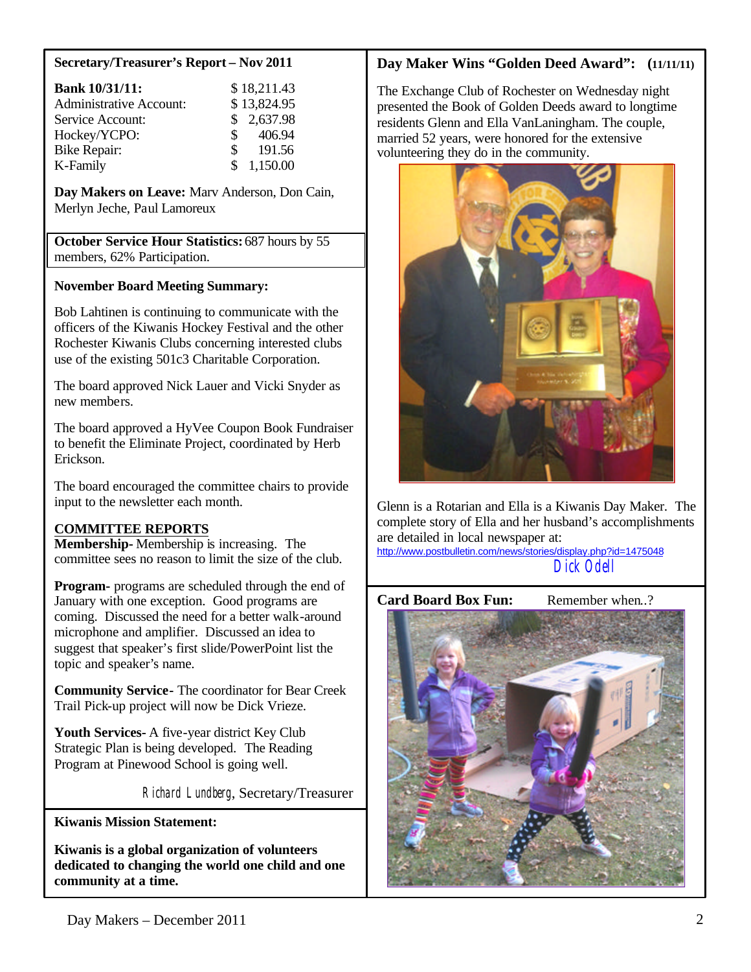#### **Secretary/Treasurer's Report – Nov 2011**

| <b>Bank 10/31/11:</b>          | \$18,211.43              |
|--------------------------------|--------------------------|
| <b>Administrative Account:</b> | \$13,824.95              |
| Service Account:               | \$2,637.98               |
| Hockey/YCPO:                   | 406.94<br>$\mathbb{S}^-$ |
| <b>Bike Repair:</b>            | 191.56<br>$\mathbb{S}$   |
| K-Family                       | \$1,150.00               |

**Day Makers on Leave:** Marv Anderson, Don Cain, Merlyn Jeche, Paul Lamoreux

**October Service Hour Statistics:** 687 hours by 55 members, 62% Participation.

#### **November Board Meeting Summary:**

Bob Lahtinen is continuing to communicate with the officers of the Kiwanis Hockey Festival and the other Rochester Kiwanis Clubs concerning interested clubs use of the existing 501c3 Charitable Corporation.

The board approved Nick Lauer and Vicki Snyder as new members.

The board approved a HyVee Coupon Book Fundraiser to benefit the Eliminate Project, coordinated by Herb Erickson.

The board encouraged the committee chairs to provide input to the newsletter each month.

### **COMMITTEE REPORTS**

**Membership-** Membership is increasing. The committee sees no reason to limit the size of the club.

**Program-** programs are scheduled through the end of January with one exception. Good programs are coming. Discussed the need for a better walk-around microphone and amplifier. Discussed an idea to suggest that speaker's first slide/PowerPoint list the topic and speaker's name.

**Community Service-** The coordinator for Bear Creek Trail Pick-up project will now be Dick Vrieze.

**Youth Services-** A five-year district Key Club Strategic Plan is being developed.The Reading Program at Pinewood School is going well.

Richard Lundberg, Secretary/Treasurer

**Kiwanis Mission Statement:**

**Kiwanis is a global organization of volunteers dedicated to changing the world one child and one community at a time.**

### **Day Maker Wins "Golden Deed Award": (11/11/11)**

The Exchange Club of Rochester on Wednesday night presented the Book of Golden Deeds award to longtime residents Glenn and Ella VanLaningham. The couple, married 52 years, were honored for the extensive volunteering they do in the community.



Glenn is a Rotarian and Ella is a Kiwanis Day Maker. The complete story of Ella and her husband's accomplishments are detailed in local newspaper at:

http://www.postbulletin.com/news/stories/display.php?id=1475048 Dick Odell

# **Card Board Box Fun:** Remember when..?

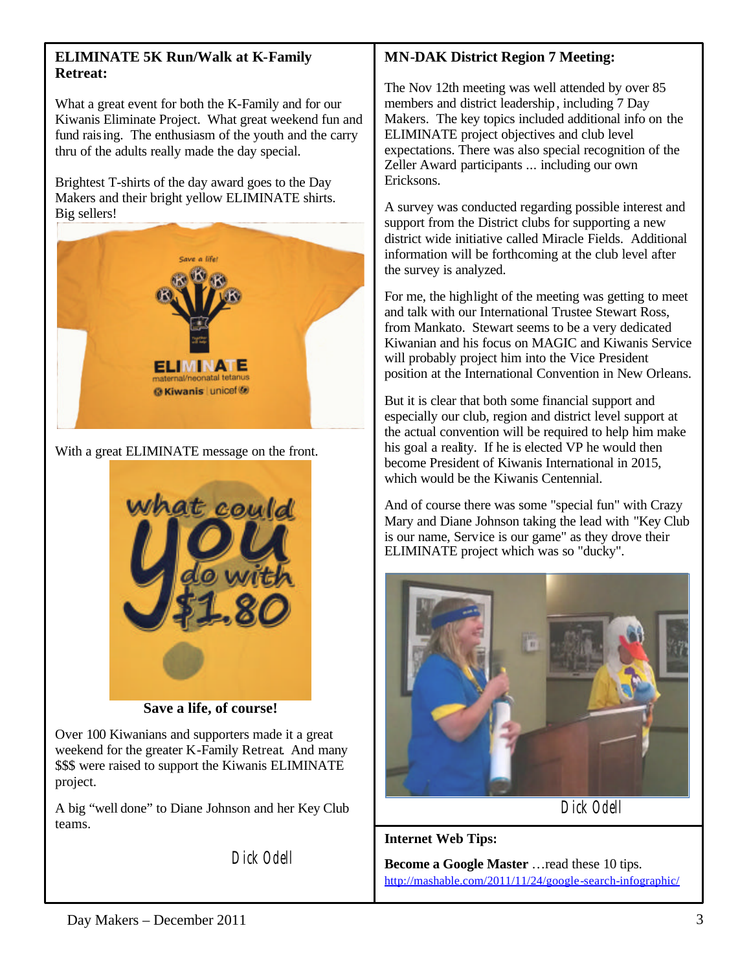### **ELIMINATE 5K Run/Walk at K-Family Retreat:**

What a great event for both the K-Family and for our Kiwanis Eliminate Project. What great weekend fun and fund raising. The enthusiasm of the youth and the carry thru of the adults really made the day special.

Brightest T-shirts of the day award goes to the Day Makers and their bright yellow ELIMINATE shirts. Big sellers!



With a great ELIMINATE message on the front.



**Save a life, of course!**

Over 100 Kiwanians and supporters made it a great weekend for the greater K-Family Retreat. And many \$\$\$ were raised to support the Kiwanis ELIMINATE project.

A big "well done" to Diane Johnson and her Key Club teams.

Dick Odell

## **MN-DAK District Region 7 Meeting:**

The Nov 12th meeting was well attended by over 85 members and district leadership, including 7 Day Makers. The key topics included additional info on the ELIMINATE project objectives and club level expectations. There was also special recognition of the Zeller Award participants ... including our own Ericksons.

A survey was conducted regarding possible interest and support from the District clubs for supporting a new district wide initiative called Miracle Fields. Additional information will be forthcoming at the club level after the survey is analyzed.

For me, the highlight of the meeting was getting to meet and talk with our International Trustee Stewart Ross, from Mankato. Stewart seems to be a very dedicated Kiwanian and his focus on MAGIC and Kiwanis Service will probably project him into the Vice President position at the International Convention in New Orleans.

But it is clear that both some financial support and especially our club, region and district level support at the actual convention will be required to help him make his goal a reality. If he is elected VP he would then become President of Kiwanis International in 2015, which would be the Kiwanis Centennial.

And of course there was some "special fun" with Crazy Mary and Diane Johnson taking the lead with "Key Club is our name, Service is our game" as they drove their ELIMINATE project which was so "ducky".



Dick Odell

**Internet Web Tips:**

**Become a Google Master** …read these 10 tips. http://mashable.com/2011/11/24/google-search-infographic/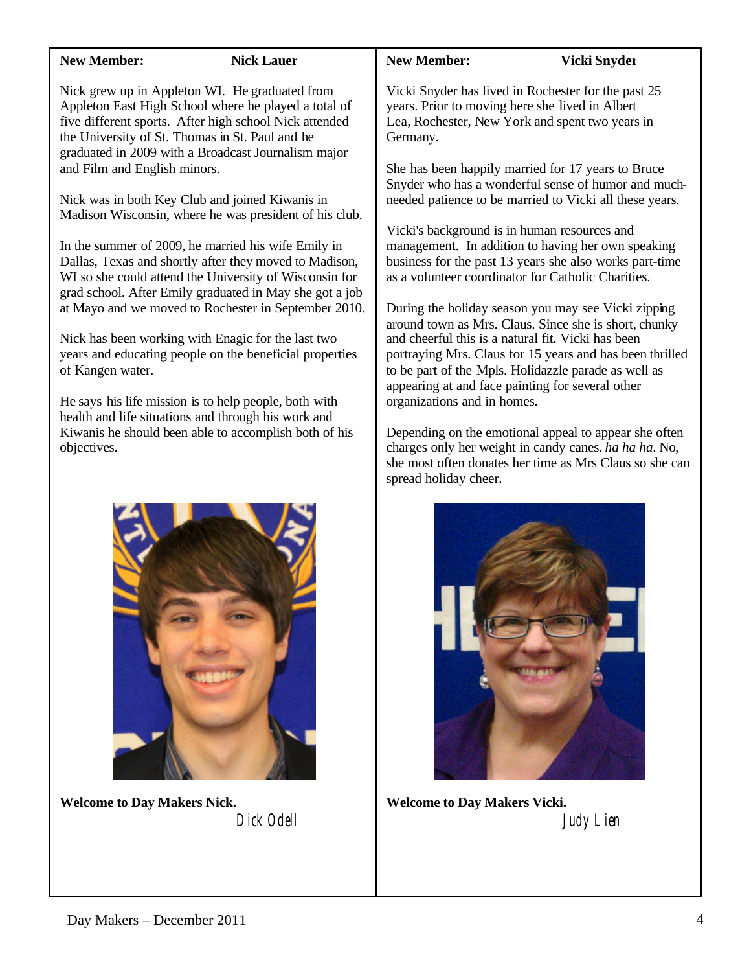| <b>New Member:</b>                                                                                                 | <b>Nick Lauer</b>                                                                                                                                                                                                                                                                                                                                                                                                                                                                                                                                                                                                                                                                                                                                                                                                                                                                                                            | <b>New Member:</b>                                                                                                                                                                                                                                                                                                                  | Vicki Snyder                                                                                                                                                                                                                                                                                                                                                                                                                                                                                                                                                                                                                                                                                                                                                                                                     |
|--------------------------------------------------------------------------------------------------------------------|------------------------------------------------------------------------------------------------------------------------------------------------------------------------------------------------------------------------------------------------------------------------------------------------------------------------------------------------------------------------------------------------------------------------------------------------------------------------------------------------------------------------------------------------------------------------------------------------------------------------------------------------------------------------------------------------------------------------------------------------------------------------------------------------------------------------------------------------------------------------------------------------------------------------------|-------------------------------------------------------------------------------------------------------------------------------------------------------------------------------------------------------------------------------------------------------------------------------------------------------------------------------------|------------------------------------------------------------------------------------------------------------------------------------------------------------------------------------------------------------------------------------------------------------------------------------------------------------------------------------------------------------------------------------------------------------------------------------------------------------------------------------------------------------------------------------------------------------------------------------------------------------------------------------------------------------------------------------------------------------------------------------------------------------------------------------------------------------------|
| the University of St. Thomas in St. Paul and he<br>and Film and English minors.<br>of Kangen water.<br>objectives. | Nick grew up in Appleton WI. He graduated from<br>Appleton East High School where he played a total of<br>five different sports. After high school Nick attended<br>graduated in 2009 with a Broadcast Journalism major<br>Nick was in both Key Club and joined Kiwanis in<br>Madison Wisconsin, where he was president of his club.<br>In the summer of 2009, he married his wife Emily in<br>Dallas, Texas and shortly after they moved to Madison,<br>WI so she could attend the University of Wisconsin for<br>grad school. After Emily graduated in May she got a job<br>at Mayo and we moved to Rochester in September 2010.<br>Nick has been working with Enagic for the last two<br>years and educating people on the beneficial properties<br>He says his life mission is to help people, both with<br>health and life situations and through his work and<br>Kiwanis he should been able to accomplish both of his | years. Prior to moving here she lived in Albert<br>Germany.<br>Vicki's background is in human resources and<br>as a volunteer coordinator for Catholic Charities.<br>and cheerful this is a natural fit. Vicki has been<br>appearing at and face painting for several other<br>organizations and in homes.<br>spread holiday cheer. | Vicki Snyder has lived in Rochester for the past 25<br>Lea, Rochester, New York and spent two years in<br>She has been happily married for 17 years to Bruce<br>Snyder who has a wonderful sense of humor and much-<br>needed patience to be married to Vicki all these years.<br>management. In addition to having her own speaking<br>business for the past 13 years she also works part-time<br>During the holiday season you may see Vicki zipping<br>around town as Mrs. Claus. Since she is short, chunky<br>portraying Mrs. Claus for 15 years and has been thrilled<br>to be part of the Mpls. Holidazzle parade as well as<br>Depending on the emotional appeal to appear she often<br>charges only her weight in candy canes. ha ha ha. No,<br>she most often donates her time as Mrs Claus so she can |
|                                                                                                                    |                                                                                                                                                                                                                                                                                                                                                                                                                                                                                                                                                                                                                                                                                                                                                                                                                                                                                                                              |                                                                                                                                                                                                                                                                                                                                     |                                                                                                                                                                                                                                                                                                                                                                                                                                                                                                                                                                                                                                                                                                                                                                                                                  |



**Welcome to Day Makers Vicki.** Judy Lien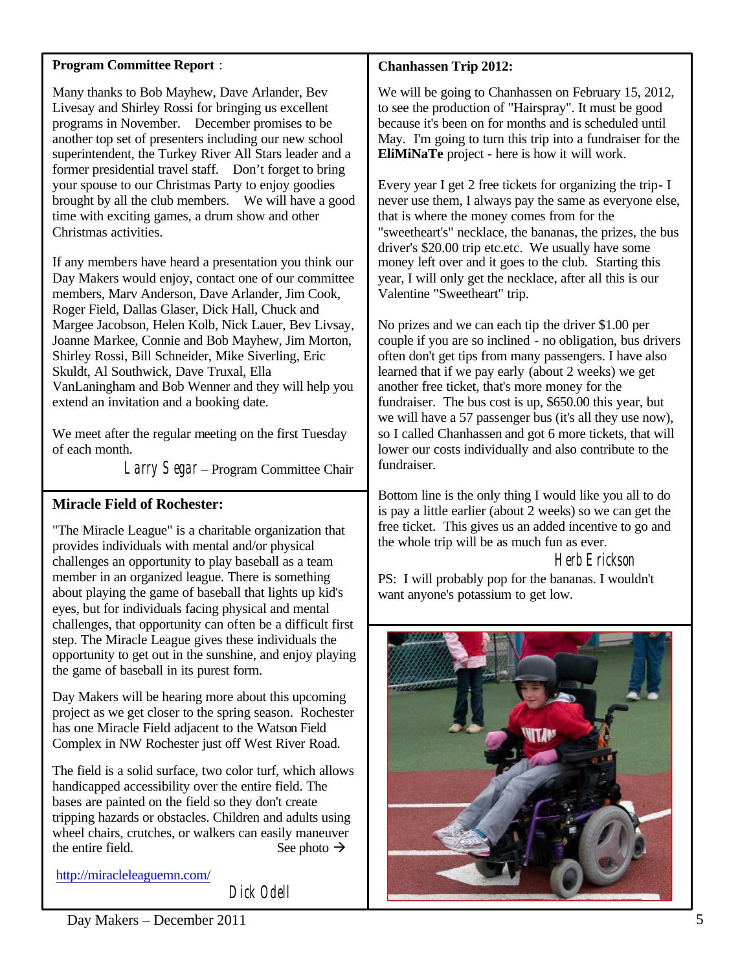### **Program Committee Report** :

Many thanks to Bob Mayhew, Dave Arlander, Bev Livesay and Shirley Rossi for bringing us excellent programs in November. December promises to be another top set of presenters including our new school superintendent, the Turkey River All Stars leader and a former presidential travel staff. Don't forget to bring your spouse to our Christmas Party to enjoy goodies brought by all the club members. We will have a good time with exciting games, a drum show and other Christmas activities.

If any members have heard a presentation you think our Day Makers would enjoy, contact one of our committee members, Marv Anderson, Dave Arlander, Jim Cook, Roger Field, Dallas Glaser, Dick Hall, Chuck and Margee Jacobson, Helen Kolb, Nick Lauer, Bev Livsay, Joanne Markee, Connie and Bob Mayhew, Jim Morton, Shirley Rossi, Bill Schneider, Mike Siverling, Eric Skuldt, Al Southwick, Dave Truxal, Ella VanLaningham and Bob Wenner and they will help you extend an invitation and a booking date.

We meet after the regular meeting on the first Tuesday of each month.

Larry Segar – Program Committee Chair

### **Miracle Field of Rochester:**

"The Miracle League" is a charitable organization that provides individuals with mental and/or physical challenges an opportunity to play baseball as a team member in an organized league. There is something about playing the game of baseball that lights up kid's eyes, but for individuals facing physical and mental challenges, that opportunity can often be a difficult first step. The Miracle League gives these individuals the opportunity to get out in the sunshine, and enjoy playing the game of baseball in its purest form.

Day Makers will be hearing more about this upcoming project as we get closer to the spring season. Rochester has one Miracle Field adjacent to the Watson Field Complex in NW Rochester just off West River Road.

The field is a solid surface, two color turf, which allows handicapped accessibility over the entire field. The bases are painted on the field so they don't create tripping hazards or obstacles. Children and adults using wheel chairs, crutches, or walkers can easily maneuver the entire field. See photo  $\rightarrow$ 

http://miracleleaguemn.com/

Dick Odell

### **Chanhassen Trip 2012:**

We will be going to Chanhassen on February 15, 2012, to see the production of "Hairspray". It must be good because it's been on for months and is scheduled until May. I'm going to turn this trip into a fundraiser for the **EliMiNaTe** project - here is how it will work.

Every year I get 2 free tickets for organizing the trip- I never use them, I always pay the same as everyone else, that is where the money comes from for the "sweetheart's" necklace, the bananas, the prizes, the bus driver's \$20.00 trip etc.etc. We usually have some money left over and it goes to the club. Starting this year, I will only get the necklace, after all this is our Valentine "Sweetheart" trip.

No prizes and we can each tip the driver \$1.00 per couple if you are so inclined - no obligation, bus drivers often don't get tips from many passengers. I have also learned that if we pay early (about 2 weeks) we get another free ticket, that's more money for the fundraiser. The bus cost is up, \$650.00 this year, but we will have a 57 passenger bus (it's all they use now), so I called Chanhassen and got 6 more tickets, that will lower our costs individually and also contribute to the fundraiser.

Bottom line is the only thing I would like you all to do is pay a little earlier (about 2 weeks) so we can get the free ticket. This gives us an added incentive to go and the whole trip will be as much fun as ever.

Herb Erickson

PS: I will probably pop for the bananas. I wouldn't want anyone's potassium to get low.